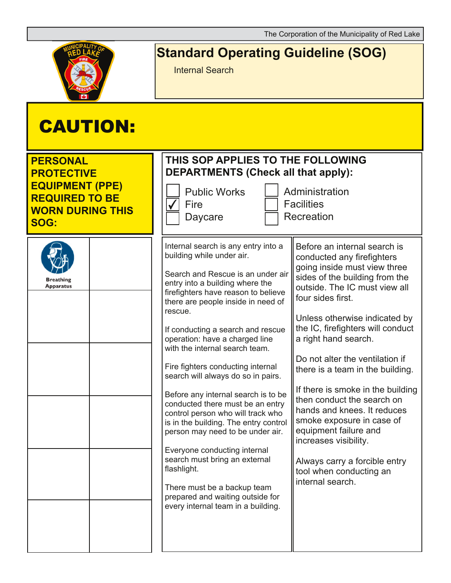

## **Standard Operating Guideline (SOG)**

Internal Search

| <b>CAUTION:</b>                                                                                                                   |                                                                                                                                                                                                                                                                                                                                                                                                                                                                                                                                                                                                                                                                                                                                                                                                            |                                                                                                                                                                                                                                                                                                                                                                                                                                                                                                                                                                                                                          |
|-----------------------------------------------------------------------------------------------------------------------------------|------------------------------------------------------------------------------------------------------------------------------------------------------------------------------------------------------------------------------------------------------------------------------------------------------------------------------------------------------------------------------------------------------------------------------------------------------------------------------------------------------------------------------------------------------------------------------------------------------------------------------------------------------------------------------------------------------------------------------------------------------------------------------------------------------------|--------------------------------------------------------------------------------------------------------------------------------------------------------------------------------------------------------------------------------------------------------------------------------------------------------------------------------------------------------------------------------------------------------------------------------------------------------------------------------------------------------------------------------------------------------------------------------------------------------------------------|
| <b>PERSONAL</b><br><b>PROTECTIVE</b><br><b>EQUIPMENT (PPE)</b><br><b>REQUIRED TO BE</b><br><b>WORN DURING THIS</b><br><b>SOG:</b> | THIS SOP APPLIES TO THE FOLLOWING<br><b>DEPARTMENTS (Check all that apply):</b><br><b>Public Works</b><br>Fire<br>Daycare                                                                                                                                                                                                                                                                                                                                                                                                                                                                                                                                                                                                                                                                                  | Administration<br><b>Facilities</b><br>Recreation                                                                                                                                                                                                                                                                                                                                                                                                                                                                                                                                                                        |
| <b>Breathing</b><br>Apparatus                                                                                                     | Internal search is any entry into a<br>building while under air.<br>Search and Rescue is an under air<br>entry into a building where the<br>firefighters have reason to believe<br>there are people inside in need of<br>rescue.<br>If conducting a search and rescue<br>operation: have a charged line<br>with the internal search team.<br>Fire fighters conducting internal<br>search will always do so in pairs.<br>Before any internal search is to be<br>conducted there must be an entry<br>control person who will track who<br>is in the building. The entry control<br>person may need to be under air.<br>Everyone conducting internal<br>search must bring an external<br>flashlight.<br>There must be a backup team<br>prepared and waiting outside for<br>every internal team in a building. | Before an internal search is<br>conducted any firefighters<br>going inside must view three<br>sides of the building from the<br>outside. The IC must view all<br>four sides first.<br>Unless otherwise indicated by<br>the IC, firefighters will conduct<br>a right hand search.<br>Do not alter the ventilation if<br>there is a team in the building.<br>If there is smoke in the building<br>then conduct the search on<br>hands and knees. It reduces<br>smoke exposure in case of<br>equipment failure and<br>increases visibility.<br>Always carry a forcible entry<br>tool when conducting an<br>internal search. |